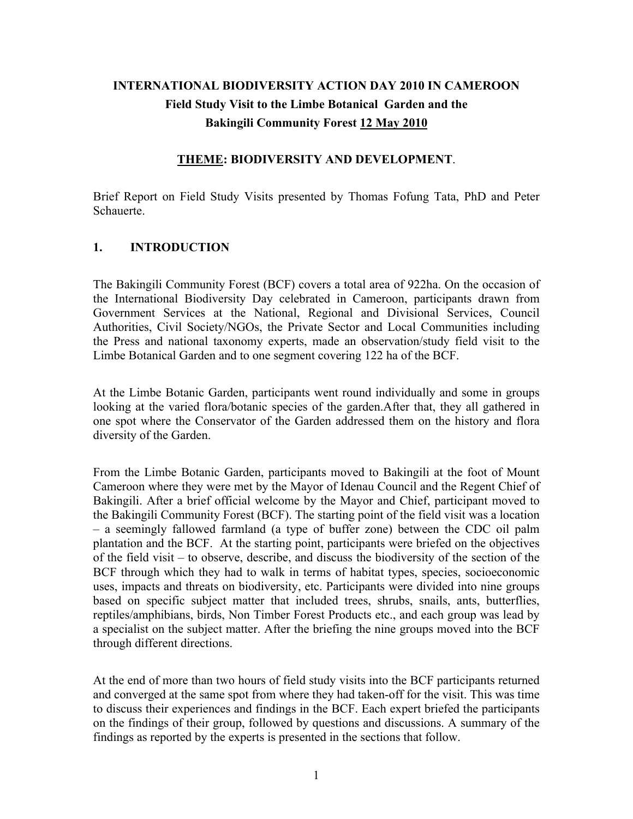# **INTERNATIONAL BIODIVERSITY ACTION DAY 2010 IN CAMEROON Field Study Visit to the Limbe Botanical Garden and the Bakingili Community Forest 12 May 2010**

#### **THEME: BIODIVERSITY AND DEVELOPMENT**.

Brief Report on Field Study Visits presented by Thomas Fofung Tata, PhD and Peter Schauerte.

#### **1. INTRODUCTION**

The Bakingili Community Forest (BCF) covers a total area of 922ha. On the occasion of the International Biodiversity Day celebrated in Cameroon, participants drawn from Government Services at the National, Regional and Divisional Services, Council Authorities, Civil Society/NGOs, the Private Sector and Local Communities including the Press and national taxonomy experts, made an observation/study field visit to the Limbe Botanical Garden and to one segment covering 122 ha of the BCF.

At the Limbe Botanic Garden, participants went round individually and some in groups looking at the varied flora/botanic species of the garden.After that, they all gathered in one spot where the Conservator of the Garden addressed them on the history and flora diversity of the Garden.

From the Limbe Botanic Garden, participants moved to Bakingili at the foot of Mount Cameroon where they were met by the Mayor of Idenau Council and the Regent Chief of Bakingili. After a brief official welcome by the Mayor and Chief, participant moved to the Bakingili Community Forest (BCF). The starting point of the field visit was a location – a seemingly fallowed farmland (a type of buffer zone) between the CDC oil palm plantation and the BCF. At the starting point, participants were briefed on the objectives of the field visit – to observe, describe, and discuss the biodiversity of the section of the BCF through which they had to walk in terms of habitat types, species, socioeconomic uses, impacts and threats on biodiversity, etc. Participants were divided into nine groups based on specific subject matter that included trees, shrubs, snails, ants, butterflies, reptiles/amphibians, birds, Non Timber Forest Products etc., and each group was lead by a specialist on the subject matter. After the briefing the nine groups moved into the BCF through different directions.

At the end of more than two hours of field study visits into the BCF participants returned and converged at the same spot from where they had taken-off for the visit. This was time to discuss their experiences and findings in the BCF. Each expert briefed the participants on the findings of their group, followed by questions and discussions. A summary of the findings as reported by the experts is presented in the sections that follow.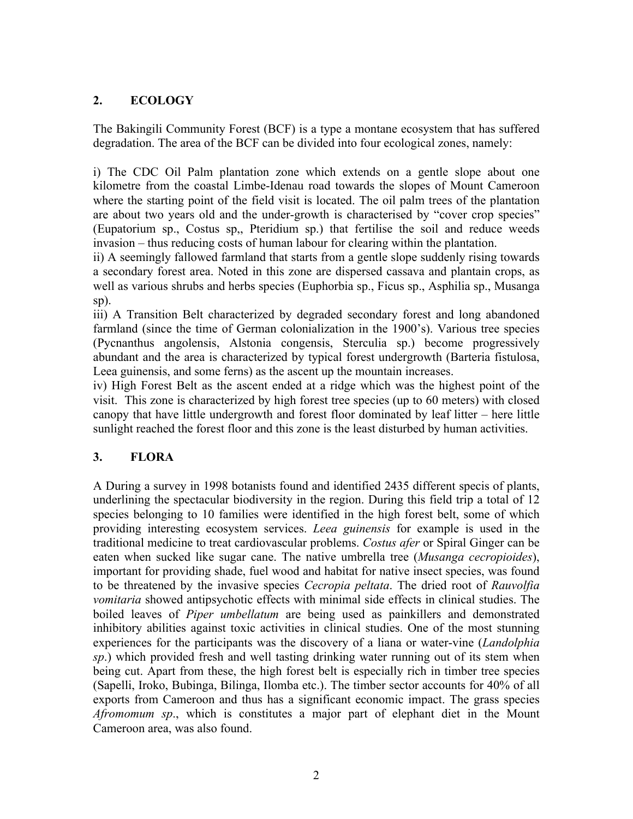### **2. ECOLOGY**

The Bakingili Community Forest (BCF) is a type a montane ecosystem that has suffered degradation. The area of the BCF can be divided into four ecological zones, namely:

i) The CDC Oil Palm plantation zone which extends on a gentle slope about one kilometre from the coastal Limbe-Idenau road towards the slopes of Mount Cameroon where the starting point of the field visit is located. The oil palm trees of the plantation are about two years old and the under-growth is characterised by "cover crop species" (Eupatorium sp., Costus sp,, Pteridium sp.) that fertilise the soil and reduce weeds invasion – thus reducing costs of human labour for clearing within the plantation.

ii) A seemingly fallowed farmland that starts from a gentle slope suddenly rising towards a secondary forest area. Noted in this zone are dispersed cassava and plantain crops, as well as various shrubs and herbs species (Euphorbia sp., Ficus sp., Asphilia sp., Musanga sp).

iii) A Transition Belt characterized by degraded secondary forest and long abandoned farmland (since the time of German colonialization in the 1900's). Various tree species (Pycnanthus angolensis, Alstonia congensis, Sterculia sp.) become progressively abundant and the area is characterized by typical forest undergrowth (Barteria fistulosa, Leea guinensis, and some ferns) as the ascent up the mountain increases.

iv) High Forest Belt as the ascent ended at a ridge which was the highest point of the visit. This zone is characterized by high forest tree species (up to 60 meters) with closed canopy that have little undergrowth and forest floor dominated by leaf litter – here little sunlight reached the forest floor and this zone is the least disturbed by human activities.

### **3. FLORA**

A During a survey in 1998 botanists found and identified 2435 different specis of plants, underlining the spectacular biodiversity in the region. During this field trip a total of 12 species belonging to 10 families were identified in the high forest belt, some of which providing interesting ecosystem services. *Leea guinensis* for example is used in the traditional medicine to treat cardiovascular problems. *Costus afer* or Spiral Ginger can be eaten when sucked like sugar cane. The native umbrella tree (*Musanga cecropioides*), important for providing shade, fuel wood and habitat for native insect species, was found to be threatened by the invasive species *Cecropia peltata*. The dried root of *Rauvolfia vomitaria* showed antipsychotic effects with minimal side effects in clinical studies. The boiled leaves of *Piper umbellatum* are being used as painkillers and demonstrated inhibitory abilities against toxic activities in clinical studies. One of the most stunning experiences for the participants was the discovery of a liana or water-vine (*Landolphia sp*.) which provided fresh and well tasting drinking water running out of its stem when being cut. Apart from these, the high forest belt is especially rich in timber tree species (Sapelli, Iroko, Bubinga, Bilinga, Ilomba etc.). The timber sector accounts for 40% of all exports from Cameroon and thus has a significant economic impact. The grass species *Afromomum sp*., which is constitutes a major part of elephant diet in the Mount Cameroon area, was also found.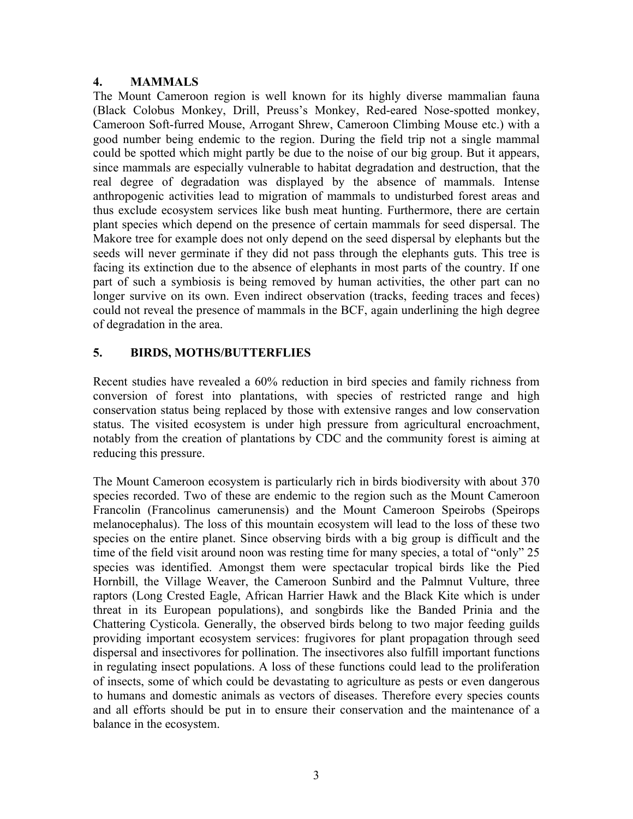#### **4. MAMMALS**

The Mount Cameroon region is well known for its highly diverse mammalian fauna (Black Colobus Monkey, Drill, Preuss's Monkey, Red-eared Nose-spotted monkey, Cameroon Soft-furred Mouse, Arrogant Shrew, Cameroon Climbing Mouse etc.) with a good number being endemic to the region. During the field trip not a single mammal could be spotted which might partly be due to the noise of our big group. But it appears, since mammals are especially vulnerable to habitat degradation and destruction, that the real degree of degradation was displayed by the absence of mammals. Intense anthropogenic activities lead to migration of mammals to undisturbed forest areas and thus exclude ecosystem services like bush meat hunting. Furthermore, there are certain plant species which depend on the presence of certain mammals for seed dispersal. The Makore tree for example does not only depend on the seed dispersal by elephants but the seeds will never germinate if they did not pass through the elephants guts. This tree is facing its extinction due to the absence of elephants in most parts of the country. If one part of such a symbiosis is being removed by human activities, the other part can no longer survive on its own. Even indirect observation (tracks, feeding traces and feces) could not reveal the presence of mammals in the BCF, again underlining the high degree of degradation in the area.

### **5. BIRDS, MOTHS/BUTTERFLIES**

Recent studies have revealed a 60% reduction in bird species and family richness from conversion of forest into plantations, with species of restricted range and high conservation status being replaced by those with extensive ranges and low conservation status. The visited ecosystem is under high pressure from agricultural encroachment, notably from the creation of plantations by CDC and the community forest is aiming at reducing this pressure.

The Mount Cameroon ecosystem is particularly rich in birds biodiversity with about 370 species recorded. Two of these are endemic to the region such as the Mount Cameroon Francolin (Francolinus camerunensis) and the Mount Cameroon Speirobs (Speirops melanocephalus). The loss of this mountain ecosystem will lead to the loss of these two species on the entire planet. Since observing birds with a big group is difficult and the time of the field visit around noon was resting time for many species, a total of "only" 25 species was identified. Amongst them were spectacular tropical birds like the Pied Hornbill, the Village Weaver, the Cameroon Sunbird and the Palmnut Vulture, three raptors (Long Crested Eagle, African Harrier Hawk and the Black Kite which is under threat in its European populations), and songbirds like the Banded Prinia and the Chattering Cysticola. Generally, the observed birds belong to two major feeding guilds providing important ecosystem services: frugivores for plant propagation through seed dispersal and insectivores for pollination. The insectivores also fulfill important functions in regulating insect populations. A loss of these functions could lead to the proliferation of insects, some of which could be devastating to agriculture as pests or even dangerous to humans and domestic animals as vectors of diseases. Therefore every species counts and all efforts should be put in to ensure their conservation and the maintenance of a balance in the ecosystem.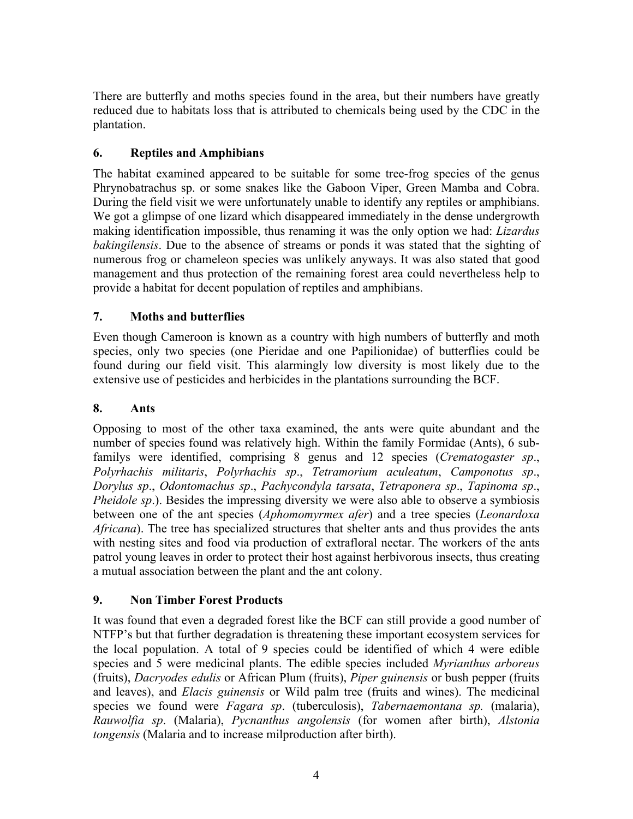There are butterfly and moths species found in the area, but their numbers have greatly reduced due to habitats loss that is attributed to chemicals being used by the CDC in the plantation.

## **6. Reptiles and Amphibians**

The habitat examined appeared to be suitable for some tree-frog species of the genus Phrynobatrachus sp. or some snakes like the Gaboon Viper, Green Mamba and Cobra. During the field visit we were unfortunately unable to identify any reptiles or amphibians. We got a glimpse of one lizard which disappeared immediately in the dense undergrowth making identification impossible, thus renaming it was the only option we had: *Lizardus bakingilensis*. Due to the absence of streams or ponds it was stated that the sighting of numerous frog or chameleon species was unlikely anyways. It was also stated that good management and thus protection of the remaining forest area could nevertheless help to provide a habitat for decent population of reptiles and amphibians.

## **7. Moths and butterflies**

Even though Cameroon is known as a country with high numbers of butterfly and moth species, only two species (one Pieridae and one Papilionidae) of butterflies could be found during our field visit. This alarmingly low diversity is most likely due to the extensive use of pesticides and herbicides in the plantations surrounding the BCF.

### **8. Ants**

Opposing to most of the other taxa examined, the ants were quite abundant and the number of species found was relatively high. Within the family Formidae (Ants), 6 subfamilys were identified, comprising 8 genus and 12 species (*Crematogaster sp*., *Polyrhachis militaris*, *Polyrhachis sp*., *Tetramorium aculeatum*, *Camponotus sp*., *Dorylus sp*., *Odontomachus sp*., *Pachycondyla tarsata*, *Tetraponera sp*., *Tapinoma sp*., *Pheidole sp.*). Besides the impressing diversity we were also able to observe a symbiosis between one of the ant species (*Aphomomyrmex afer*) and a tree species (*Leonardoxa Africana*). The tree has specialized structures that shelter ants and thus provides the ants with nesting sites and food via production of extrafloral nectar. The workers of the ants patrol young leaves in order to protect their host against herbivorous insects, thus creating a mutual association between the plant and the ant colony.

## **9. Non Timber Forest Products**

It was found that even a degraded forest like the BCF can still provide a good number of NTFP's but that further degradation is threatening these important ecosystem services for the local population. A total of 9 species could be identified of which 4 were edible species and 5 were medicinal plants. The edible species included *Myrianthus arboreus* (fruits), *Dacryodes edulis* or African Plum (fruits), *Piper guinensis* or bush pepper (fruits and leaves), and *Elacis guinensis* or Wild palm tree (fruits and wines). The medicinal species we found were *Fagara sp*. (tuberculosis), *Tabernaemontana sp.* (malaria), *Rauwolfia sp*. (Malaria), *Pycnanthus angolensis* (for women after birth), *Alstonia tongensis* (Malaria and to increase milproduction after birth).